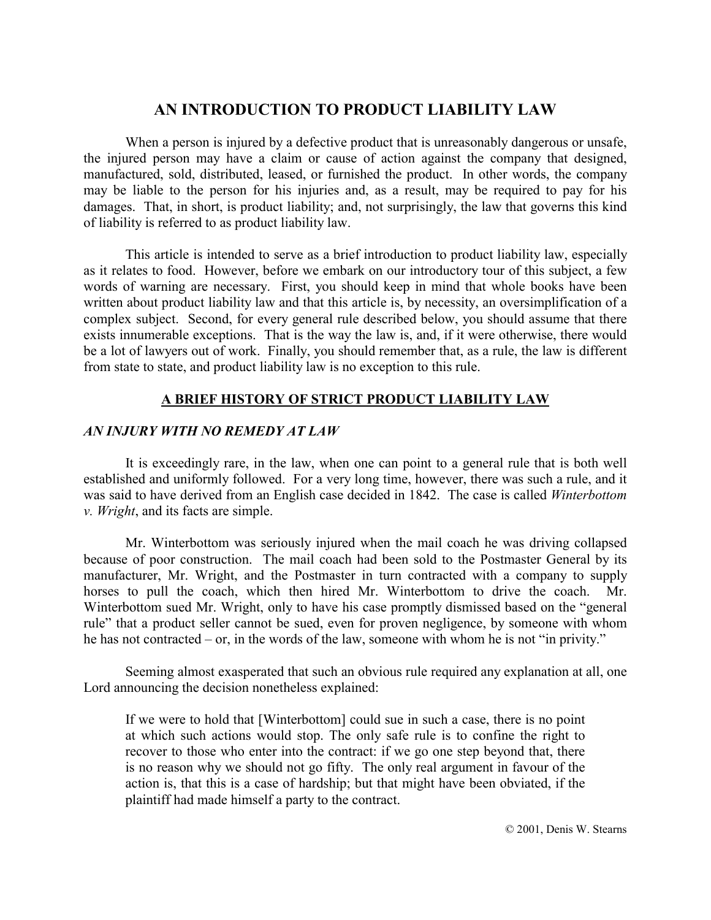# **AN INTRODUCTION TO PRODUCT LIABILITY LAW**

When a person is injured by a defective product that is unreasonably dangerous or unsafe, the injured person may have a claim or cause of action against the company that designed, manufactured, sold, distributed, leased, or furnished the product. In other words, the company may be liable to the person for his injuries and, as a result, may be required to pay for his damages. That, in short, is product liability; and, not surprisingly, the law that governs this kind of liability is referred to as product liability law.

This article is intended to serve as a brief introduction to product liability law, especially as it relates to food. However, before we embark on our introductory tour of this subject, a few words of warning are necessary. First, you should keep in mind that whole books have been written about product liability law and that this article is, by necessity, an oversimplification of a complex subject. Second, for every general rule described below, you should assume that there exists innumerable exceptions. That is the way the law is, and, if it were otherwise, there would be a lot of lawyers out of work. Finally, you should remember that, as a rule, the law is different from state to state, and product liability law is no exception to this rule.

## **A BRIEF HISTORY OF STRICT PRODUCT LIABILITY LAW**

## *AN INJURY WITH NO REMEDY AT LAW*

 It is exceedingly rare, in the law, when one can point to a general rule that is both well established and uniformly followed. For a very long time, however, there was such a rule, and it was said to have derived from an English case decided in 1842. The case is called *Winterbottom v. Wright*, and its facts are simple.

Mr. Winterbottom was seriously injured when the mail coach he was driving collapsed because of poor construction. The mail coach had been sold to the Postmaster General by its manufacturer, Mr. Wright, and the Postmaster in turn contracted with a company to supply horses to pull the coach, which then hired Mr. Winterbottom to drive the coach. Mr. Winterbottom sued Mr. Wright, only to have his case promptly dismissed based on the "general" rule" that a product seller cannot be sued, even for proven negligence, by someone with whom he has not contracted  $-$  or, in the words of the law, someone with whom he is not "in privity."

Seeming almost exasperated that such an obvious rule required any explanation at all, one Lord announcing the decision nonetheless explained:

If we were to hold that [Winterbottom] could sue in such a case, there is no point at which such actions would stop. The only safe rule is to confine the right to recover to those who enter into the contract: if we go one step beyond that, there is no reason why we should not go fifty. The only real argument in favour of the action is, that this is a case of hardship; but that might have been obviated, if the plaintiff had made himself a party to the contract.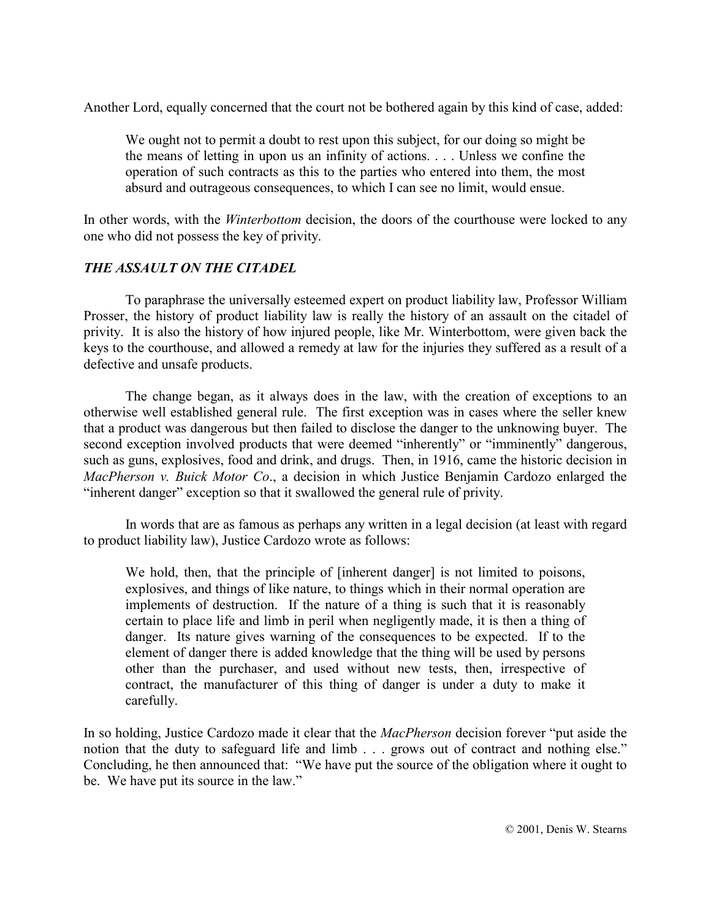Another Lord, equally concerned that the court not be bothered again by this kind of case, added:

We ought not to permit a doubt to rest upon this subject, for our doing so might be the means of letting in upon us an infinity of actions. . . . Unless we confine the operation of such contracts as this to the parties who entered into them, the most absurd and outrageous consequences, to which I can see no limit, would ensue.

In other words, with the *Winterbottom* decision, the doors of the courthouse were locked to any one who did not possess the key of privity.

## *THE ASSAULT ON THE CITADEL*

To paraphrase the universally esteemed expert on product liability law, Professor William Prosser, the history of product liability law is really the history of an assault on the citadel of privity. It is also the history of how injured people, like Mr. Winterbottom, were given back the keys to the courthouse, and allowed a remedy at law for the injuries they suffered as a result of a defective and unsafe products.

The change began, as it always does in the law, with the creation of exceptions to an otherwise well established general rule. The first exception was in cases where the seller knew that a product was dangerous but then failed to disclose the danger to the unknowing buyer. The second exception involved products that were deemed "inherently" or "imminently" dangerous, such as guns, explosives, food and drink, and drugs. Then, in 1916, came the historic decision in *MacPherson v. Buick Motor Co*., a decision in which Justice Benjamin Cardozo enlarged the "inherent danger" exception so that it swallowed the general rule of privity.

In words that are as famous as perhaps any written in a legal decision (at least with regard to product liability law), Justice Cardozo wrote as follows:

We hold, then, that the principle of [inherent danger] is not limited to poisons, explosives, and things of like nature, to things which in their normal operation are implements of destruction. If the nature of a thing is such that it is reasonably certain to place life and limb in peril when negligently made, it is then a thing of danger. Its nature gives warning of the consequences to be expected. If to the element of danger there is added knowledge that the thing will be used by persons other than the purchaser, and used without new tests, then, irrespective of contract, the manufacturer of this thing of danger is under a duty to make it carefully.

In so holding, Justice Cardozo made it clear that the *MacPherson* decision forever "put aside the notion that the duty to safeguard life and limb  $\ldots$  grows out of contract and nothing else.<sup>"</sup> Concluding, he then announced that: "We have put the source of the obligation where it ought to be. We have put its source in the law."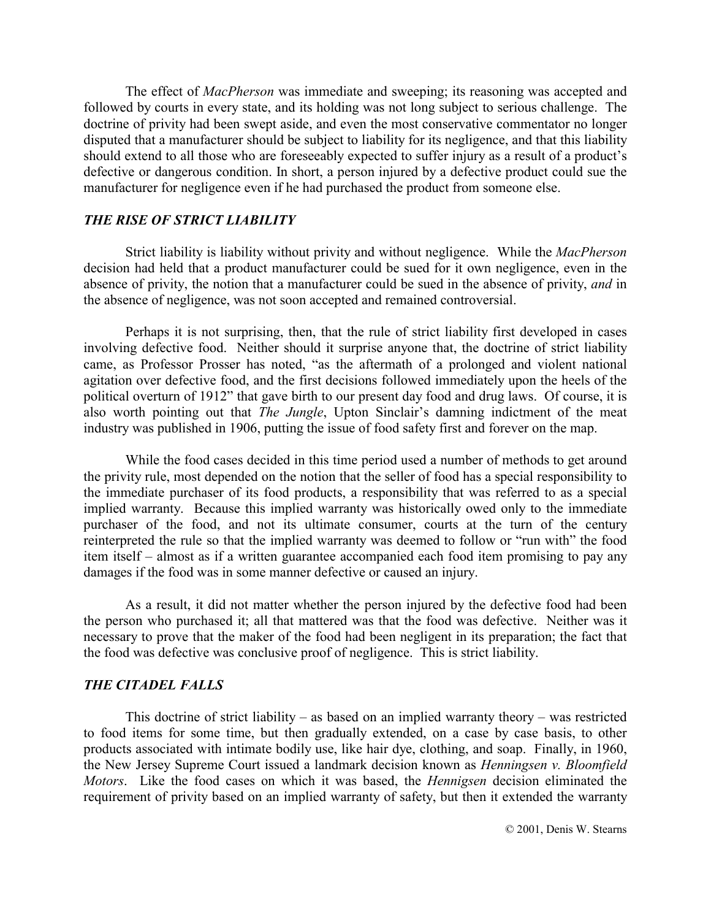The effect of *MacPherson* was immediate and sweeping; its reasoning was accepted and followed by courts in every state, and its holding was not long subject to serious challenge. The doctrine of privity had been swept aside, and even the most conservative commentator no longer disputed that a manufacturer should be subject to liability for its negligence, and that this liability should extend to all those who are foreseeably expected to suffer injury as a result of a product's defective or dangerous condition. In short, a person injured by a defective product could sue the manufacturer for negligence even if he had purchased the product from someone else.

### *THE RISE OF STRICT LIABILITY*

 Strict liability is liability without privity and without negligence. While the *MacPherson* decision had held that a product manufacturer could be sued for it own negligence, even in the absence of privity, the notion that a manufacturer could be sued in the absence of privity, *and* in the absence of negligence, was not soon accepted and remained controversial.

Perhaps it is not surprising, then, that the rule of strict liability first developed in cases involving defective food. Neither should it surprise anyone that, the doctrine of strict liability came, as Professor Prosser has noted, "as the aftermath of a prolonged and violent national agitation over defective food, and the first decisions followed immediately upon the heels of the political overturn of 1912" that gave birth to our present day food and drug laws. Of course, it is also worth pointing out that *The Jungle*, Upton Sinclair's damning indictment of the meat industry was published in 1906, putting the issue of food safety first and forever on the map.

 While the food cases decided in this time period used a number of methods to get around the privity rule, most depended on the notion that the seller of food has a special responsibility to the immediate purchaser of its food products, a responsibility that was referred to as a special implied warranty. Because this implied warranty was historically owed only to the immediate purchaser of the food, and not its ultimate consumer, courts at the turn of the century reinterpreted the rule so that the implied warranty was deemed to follow or "run with" the food item itself – almost as if a written guarantee accompanied each food item promising to pay any damages if the food was in some manner defective or caused an injury.

As a result, it did not matter whether the person injured by the defective food had been the person who purchased it; all that mattered was that the food was defective. Neither was it necessary to prove that the maker of the food had been negligent in its preparation; the fact that the food was defective was conclusive proof of negligence. This is strict liability.

## *THE CITADEL FALLS*

This doctrine of strict liability – as based on an implied warranty theory – was restricted to food items for some time, but then gradually extended, on a case by case basis, to other products associated with intimate bodily use, like hair dye, clothing, and soap. Finally, in 1960, the New Jersey Supreme Court issued a landmark decision known as *Henningsen v. Bloomfield Motors*. Like the food cases on which it was based, the *Hennigsen* decision eliminated the requirement of privity based on an implied warranty of safety, but then it extended the warranty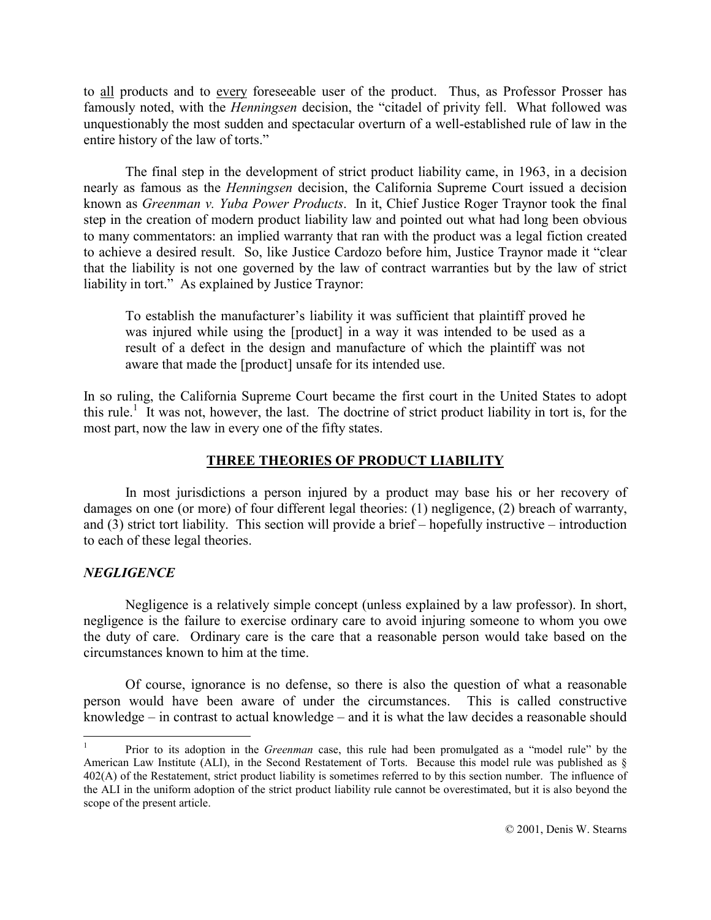to all products and to every foreseeable user of the product. Thus, as Professor Prosser has famously noted, with the *Henningsen* decision, the "citadel of privity fell. What followed was unquestionably the most sudden and spectacular overturn of a well-established rule of law in the entire history of the law of torts."

The final step in the development of strict product liability came, in 1963, in a decision nearly as famous as the *Henningsen* decision, the California Supreme Court issued a decision known as *Greenman v. Yuba Power Products*. In it, Chief Justice Roger Traynor took the final step in the creation of modern product liability law and pointed out what had long been obvious to many commentators: an implied warranty that ran with the product was a legal fiction created to achieve a desired result. So, like Justice Cardozo before him, Justice Traynor made it "clear" that the liability is not one governed by the law of contract warranties but by the law of strict liability in tort." As explained by Justice Traynor:

To establish the manufacturer's liability it was sufficient that plaintiff proved he was injured while using the [product] in a way it was intended to be used as a result of a defect in the design and manufacture of which the plaintiff was not aware that made the [product] unsafe for its intended use.

In so ruling, the California Supreme Court became the first court in the United States to adopt this rule.<sup>1</sup> It was not, however, the last. The doctrine of strict product liability in tort is, for the most part, now the law in every one of the fifty states.

## **THREE THEORIES OF PRODUCT LIABILITY**

 In most jurisdictions a person injured by a product may base his or her recovery of damages on one (or more) of four different legal theories: (1) negligence, (2) breach of warranty, and  $(3)$  strict tort liability. This section will provide a brief – hopefully instructive – introduction to each of these legal theories.

#### *NEGLIGENCE*

 $\overline{a}$ 

 Negligence is a relatively simple concept (unless explained by a law professor). In short, negligence is the failure to exercise ordinary care to avoid injuring someone to whom you owe the duty of care. Ordinary care is the care that a reasonable person would take based on the circumstances known to him at the time.

Of course, ignorance is no defense, so there is also the question of what a reasonable person would have been aware of under the circumstances. This is called constructive knowledge  $-$  in contrast to actual knowledge  $-$  and it is what the law decides a reasonable should

<sup>1</sup> Prior to its adoption in the *Greenman* case, this rule had been promulgated as a "model rule" by the American Law Institute (ALI), in the Second Restatement of Torts. Because this model rule was published as ß 402(A) of the Restatement, strict product liability is sometimes referred to by this section number. The influence of the ALI in the uniform adoption of the strict product liability rule cannot be overestimated, but it is also beyond the scope of the present article.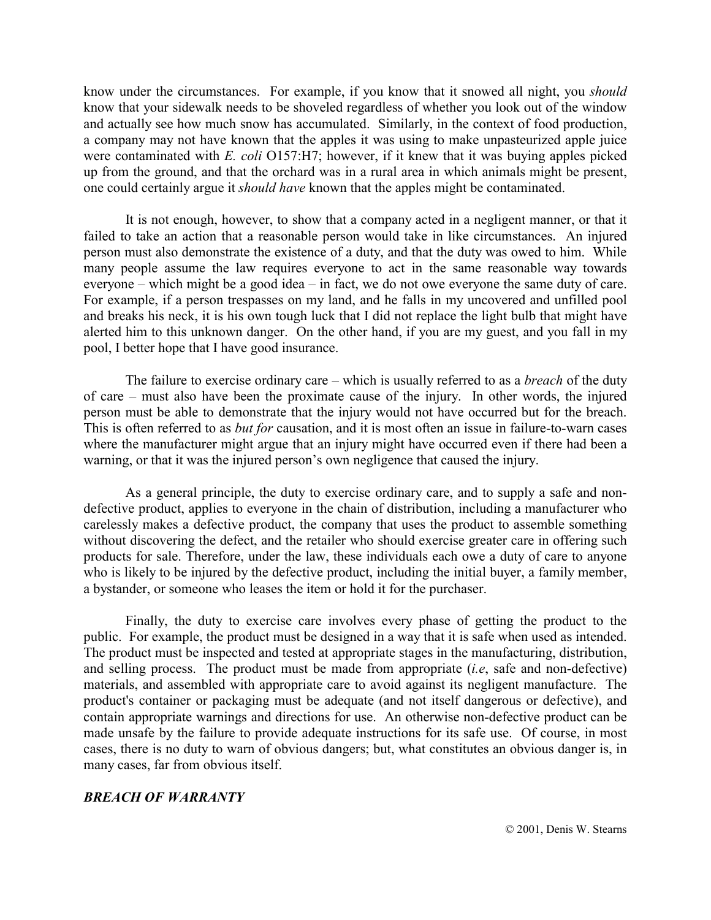know under the circumstances. For example, if you know that it snowed all night, you *should* know that your sidewalk needs to be shoveled regardless of whether you look out of the window and actually see how much snow has accumulated. Similarly, in the context of food production, a company may not have known that the apples it was using to make unpasteurized apple juice were contaminated with *E. coli* O157:H7; however, if it knew that it was buying apples picked up from the ground, and that the orchard was in a rural area in which animals might be present, one could certainly argue it *should have* known that the apples might be contaminated.

It is not enough, however, to show that a company acted in a negligent manner, or that it failed to take an action that a reasonable person would take in like circumstances. An injured person must also demonstrate the existence of a duty, and that the duty was owed to him. While many people assume the law requires everyone to act in the same reasonable way towards everyone  $-$  which might be a good idea  $-$  in fact, we do not owe everyone the same duty of care. For example, if a person trespasses on my land, and he falls in my uncovered and unfilled pool and breaks his neck, it is his own tough luck that I did not replace the light bulb that might have alerted him to this unknown danger. On the other hand, if you are my guest, and you fall in my pool, I better hope that I have good insurance.

The failure to exercise ordinary care – which is usually referred to as a *breach* of the duty of care  $-$  must also have been the proximate cause of the injury. In other words, the injured person must be able to demonstrate that the injury would not have occurred but for the breach. This is often referred to as *but for* causation, and it is most often an issue in failure-to-warn cases where the manufacturer might argue that an injury might have occurred even if there had been a warning, or that it was the injured person's own negligence that caused the injury.

As a general principle, the duty to exercise ordinary care, and to supply a safe and nondefective product, applies to everyone in the chain of distribution, including a manufacturer who carelessly makes a defective product, the company that uses the product to assemble something without discovering the defect, and the retailer who should exercise greater care in offering such products for sale. Therefore, under the law, these individuals each owe a duty of care to anyone who is likely to be injured by the defective product, including the initial buyer, a family member, a bystander, or someone who leases the item or hold it for the purchaser.

Finally, the duty to exercise care involves every phase of getting the product to the public. For example, the product must be designed in a way that it is safe when used as intended. The product must be inspected and tested at appropriate stages in the manufacturing, distribution, and selling process. The product must be made from appropriate (*i.e*, safe and non-defective) materials, and assembled with appropriate care to avoid against its negligent manufacture. The product's container or packaging must be adequate (and not itself dangerous or defective), and contain appropriate warnings and directions for use. An otherwise non-defective product can be made unsafe by the failure to provide adequate instructions for its safe use. Of course, in most cases, there is no duty to warn of obvious dangers; but, what constitutes an obvious danger is, in many cases, far from obvious itself.

#### *BREACH OF WARRANTY*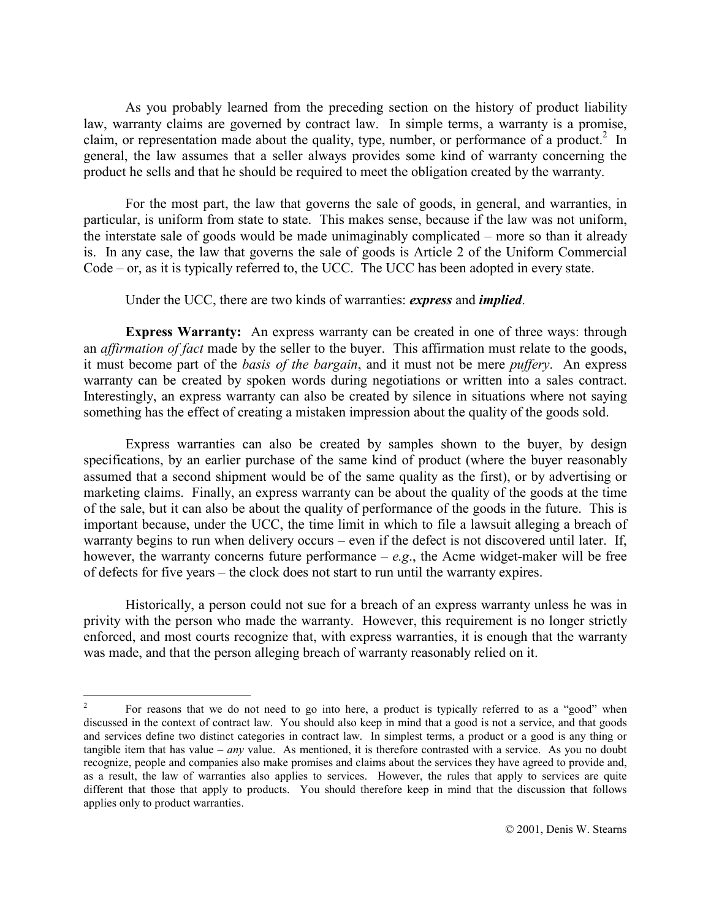As you probably learned from the preceding section on the history of product liability law, warranty claims are governed by contract law. In simple terms, a warranty is a promise, claim, or representation made about the quality, type, number, or performance of a product.<sup>2</sup> In general, the law assumes that a seller always provides some kind of warranty concerning the product he sells and that he should be required to meet the obligation created by the warranty.

For the most part, the law that governs the sale of goods, in general, and warranties, in particular, is uniform from state to state. This makes sense, because if the law was not uniform, the interstate sale of goods would be made unimaginably complicated  $-$  more so than it already is. In any case, the law that governs the sale of goods is Article 2 of the Uniform Commercial  $Code - or$ , as it is typically referred to, the UCC. The UCC has been adopted in every state.

Under the UCC, there are two kinds of warranties: *express* and *implied*.

**Express Warranty:** An express warranty can be created in one of three ways: through an *affirmation of fact* made by the seller to the buyer. This affirmation must relate to the goods, it must become part of the *basis of the bargain*, and it must not be mere *puffery*. An express warranty can be created by spoken words during negotiations or written into a sales contract. Interestingly, an express warranty can also be created by silence in situations where not saying something has the effect of creating a mistaken impression about the quality of the goods sold.

Express warranties can also be created by samples shown to the buyer, by design specifications, by an earlier purchase of the same kind of product (where the buyer reasonably assumed that a second shipment would be of the same quality as the first), or by advertising or marketing claims. Finally, an express warranty can be about the quality of the goods at the time of the sale, but it can also be about the quality of performance of the goods in the future. This is important because, under the UCC, the time limit in which to file a lawsuit alleging a breach of warranty begins to run when delivery occurs – even if the defect is not discovered until later. If, however, the warranty concerns future performance  $-e.g.,$  the Acme widget-maker will be free of defects for five years – the clock does not start to run until the warranty expires.

Historically, a person could not sue for a breach of an express warranty unless he was in privity with the person who made the warranty. However, this requirement is no longer strictly enforced, and most courts recognize that, with express warranties, it is enough that the warranty was made, and that the person alleging breach of warranty reasonably relied on it.

 $\overline{a}$ 

<sup>2</sup> For reasons that we do not need to go into here, a product is typically referred to as a "good" when discussed in the context of contract law. You should also keep in mind that a good is not a service, and that goods and services define two distinct categories in contract law. In simplest terms, a product or a good is any thing or tangible item that has value  $-$  *any* value. As mentioned, it is therefore contrasted with a service. As you no doubt recognize, people and companies also make promises and claims about the services they have agreed to provide and, as a result, the law of warranties also applies to services. However, the rules that apply to services are quite different that those that apply to products. You should therefore keep in mind that the discussion that follows applies only to product warranties.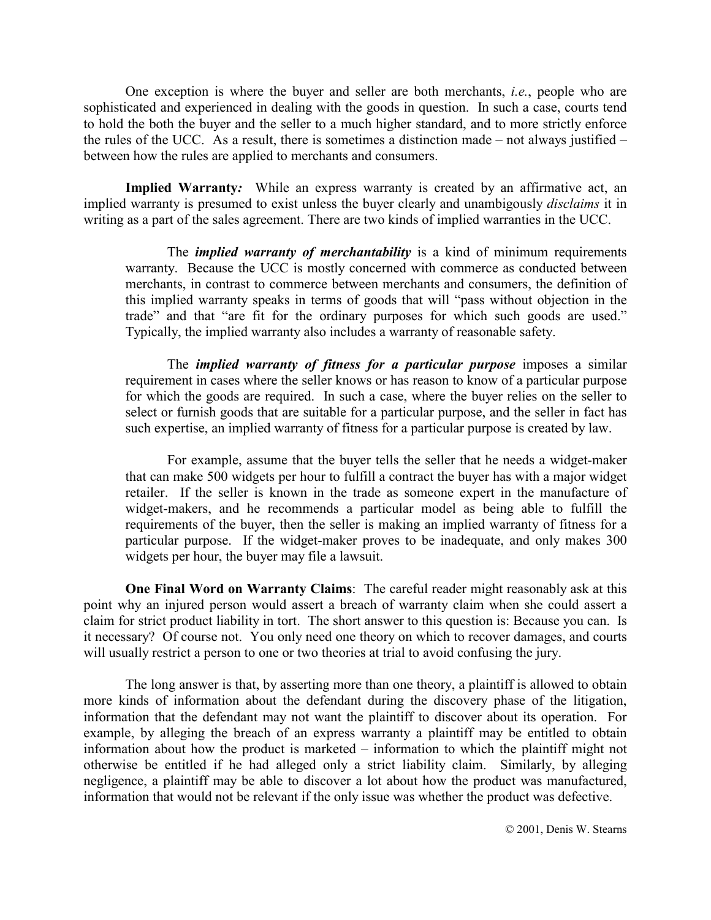One exception is where the buyer and seller are both merchants, *i.e.*, people who are sophisticated and experienced in dealing with the goods in question. In such a case, courts tend to hold the both the buyer and the seller to a much higher standard, and to more strictly enforce the rules of the UCC. As a result, there is sometimes a distinction made  $-$  not always justified  $$ between how the rules are applied to merchants and consumers.

**Implied Warranty***:* While an express warranty is created by an affirmative act, an implied warranty is presumed to exist unless the buyer clearly and unambigously *disclaims* it in writing as a part of the sales agreement. There are two kinds of implied warranties in the UCC.

The *implied warranty of merchantability* is a kind of minimum requirements warranty. Because the UCC is mostly concerned with commerce as conducted between merchants, in contrast to commerce between merchants and consumers, the definition of this implied warranty speaks in terms of goods that will "pass without objection in the trade" and that "are fit for the ordinary purposes for which such goods are used." Typically, the implied warranty also includes a warranty of reasonable safety.

The *implied warranty of fitness for a particular purpose* imposes a similar requirement in cases where the seller knows or has reason to know of a particular purpose for which the goods are required. In such a case, where the buyer relies on the seller to select or furnish goods that are suitable for a particular purpose, and the seller in fact has such expertise, an implied warranty of fitness for a particular purpose is created by law.

For example, assume that the buyer tells the seller that he needs a widget-maker that can make 500 widgets per hour to fulfill a contract the buyer has with a major widget retailer. If the seller is known in the trade as someone expert in the manufacture of widget-makers, and he recommends a particular model as being able to fulfill the requirements of the buyer, then the seller is making an implied warranty of fitness for a particular purpose. If the widget-maker proves to be inadequate, and only makes 300 widgets per hour, the buyer may file a lawsuit.

**One Final Word on Warranty Claims**: The careful reader might reasonably ask at this point why an injured person would assert a breach of warranty claim when she could assert a claim for strict product liability in tort. The short answer to this question is: Because you can. Is it necessary? Of course not. You only need one theory on which to recover damages, and courts will usually restrict a person to one or two theories at trial to avoid confusing the jury.

The long answer is that, by asserting more than one theory, a plaintiff is allowed to obtain more kinds of information about the defendant during the discovery phase of the litigation, information that the defendant may not want the plaintiff to discover about its operation. For example, by alleging the breach of an express warranty a plaintiff may be entitled to obtain information about how the product is marketed  $-$  information to which the plaintiff might not otherwise be entitled if he had alleged only a strict liability claim. Similarly, by alleging negligence, a plaintiff may be able to discover a lot about how the product was manufactured, information that would not be relevant if the only issue was whether the product was defective.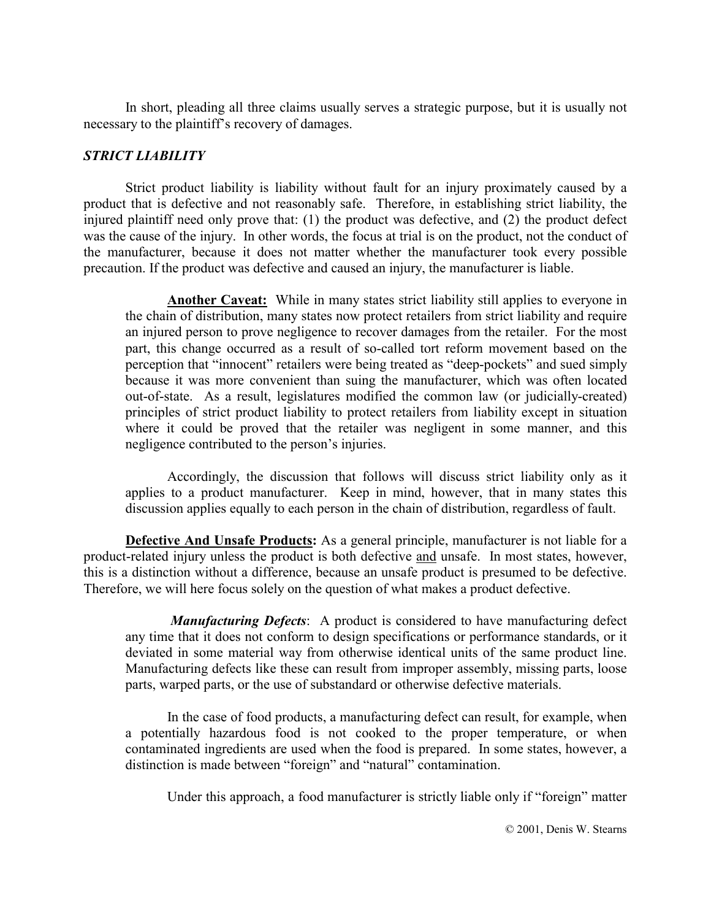In short, pleading all three claims usually serves a strategic purpose, but it is usually not necessary to the plaintiff's recovery of damages.

### *STRICT LIABILITY*

Strict product liability is liability without fault for an injury proximately caused by a product that is defective and not reasonably safe. Therefore, in establishing strict liability, the injured plaintiff need only prove that: (1) the product was defective, and (2) the product defect was the cause of the injury. In other words, the focus at trial is on the product, not the conduct of the manufacturer, because it does not matter whether the manufacturer took every possible precaution. If the product was defective and caused an injury, the manufacturer is liable.

**Another Caveat:** While in many states strict liability still applies to everyone in the chain of distribution, many states now protect retailers from strict liability and require an injured person to prove negligence to recover damages from the retailer. For the most part, this change occurred as a result of so-called tort reform movement based on the perception that "innocent" retailers were being treated as "deep-pockets" and sued simply because it was more convenient than suing the manufacturer, which was often located out-of-state. As a result, legislatures modified the common law (or judicially-created) principles of strict product liability to protect retailers from liability except in situation where it could be proved that the retailer was negligent in some manner, and this negligence contributed to the person's injuries.

Accordingly, the discussion that follows will discuss strict liability only as it applies to a product manufacturer. Keep in mind, however, that in many states this discussion applies equally to each person in the chain of distribution, regardless of fault.

**Defective And Unsafe Products:** As a general principle, manufacturer is not liable for a product-related injury unless the product is both defective and unsafe. In most states, however, this is a distinction without a difference, because an unsafe product is presumed to be defective. Therefore, we will here focus solely on the question of what makes a product defective.

 *Manufacturing Defects*: A product is considered to have manufacturing defect any time that it does not conform to design specifications or performance standards, or it deviated in some material way from otherwise identical units of the same product line. Manufacturing defects like these can result from improper assembly, missing parts, loose parts, warped parts, or the use of substandard or otherwise defective materials.

In the case of food products, a manufacturing defect can result, for example, when a potentially hazardous food is not cooked to the proper temperature, or when contaminated ingredients are used when the food is prepared. In some states, however, a distinction is made between "foreign" and "natural" contamination.

Under this approach, a food manufacturer is strictly liable only if "foreign" matter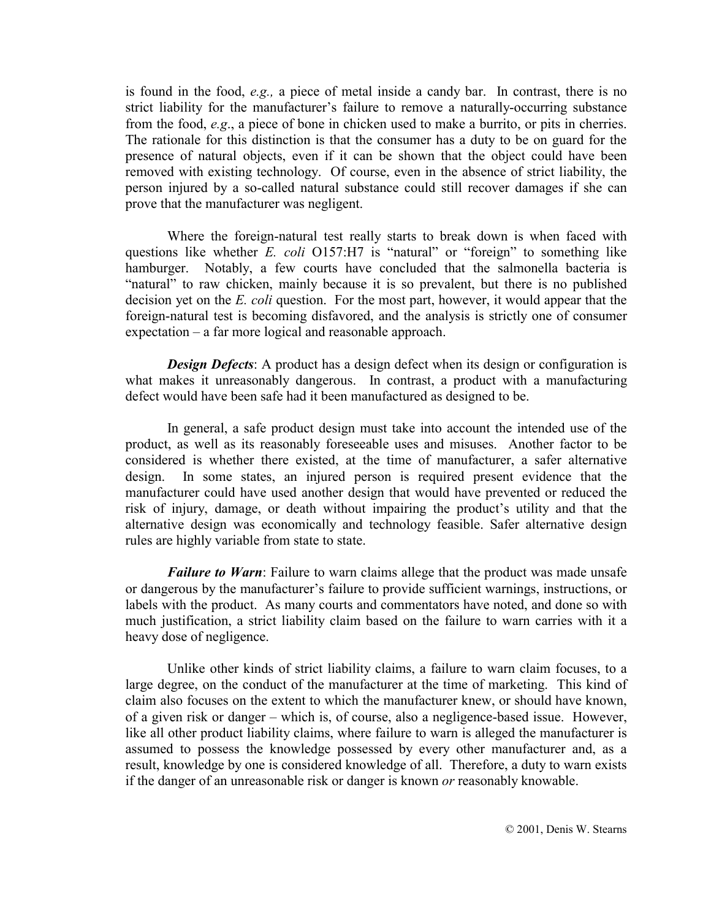is found in the food, *e.g.,* a piece of metal inside a candy bar. In contrast, there is no strict liability for the manufacturer's failure to remove a naturally-occurring substance from the food, *e.g*., a piece of bone in chicken used to make a burrito, or pits in cherries. The rationale for this distinction is that the consumer has a duty to be on guard for the presence of natural objects, even if it can be shown that the object could have been removed with existing technology. Of course, even in the absence of strict liability, the person injured by a so-called natural substance could still recover damages if she can prove that the manufacturer was negligent.

Where the foreign-natural test really starts to break down is when faced with questions like whether  $E$ . *coli* O157:H7 is "natural" or "foreign" to something like hamburger. Notably, a few courts have concluded that the salmonella bacteria is "natural" to raw chicken, mainly because it is so prevalent, but there is no published decision yet on the *E. coli* question. For the most part, however, it would appear that the foreign-natural test is becoming disfavored, and the analysis is strictly one of consumer  $expectation - a far more logical and reasonable approach.$ 

*Design Defects*: A product has a design defect when its design or configuration is what makes it unreasonably dangerous. In contrast, a product with a manufacturing defect would have been safe had it been manufactured as designed to be.

In general, a safe product design must take into account the intended use of the product, as well as its reasonably foreseeable uses and misuses. Another factor to be considered is whether there existed, at the time of manufacturer, a safer alternative design. In some states, an injured person is required present evidence that the manufacturer could have used another design that would have prevented or reduced the risk of injury, damage, or death without impairing the product's utility and that the alternative design was economically and technology feasible. Safer alternative design rules are highly variable from state to state.

*Failure to Warn*: Failure to warn claims allege that the product was made unsafe or dangerous by the manufacturer's failure to provide sufficient warnings, instructions, or labels with the product. As many courts and commentators have noted, and done so with much justification, a strict liability claim based on the failure to warn carries with it a heavy dose of negligence.

Unlike other kinds of strict liability claims, a failure to warn claim focuses, to a large degree, on the conduct of the manufacturer at the time of marketing. This kind of claim also focuses on the extent to which the manufacturer knew, or should have known, of a given risk or danger – which is, of course, also a negligence-based issue. However, like all other product liability claims, where failure to warn is alleged the manufacturer is assumed to possess the knowledge possessed by every other manufacturer and, as a result, knowledge by one is considered knowledge of all. Therefore, a duty to warn exists if the danger of an unreasonable risk or danger is known *or* reasonably knowable.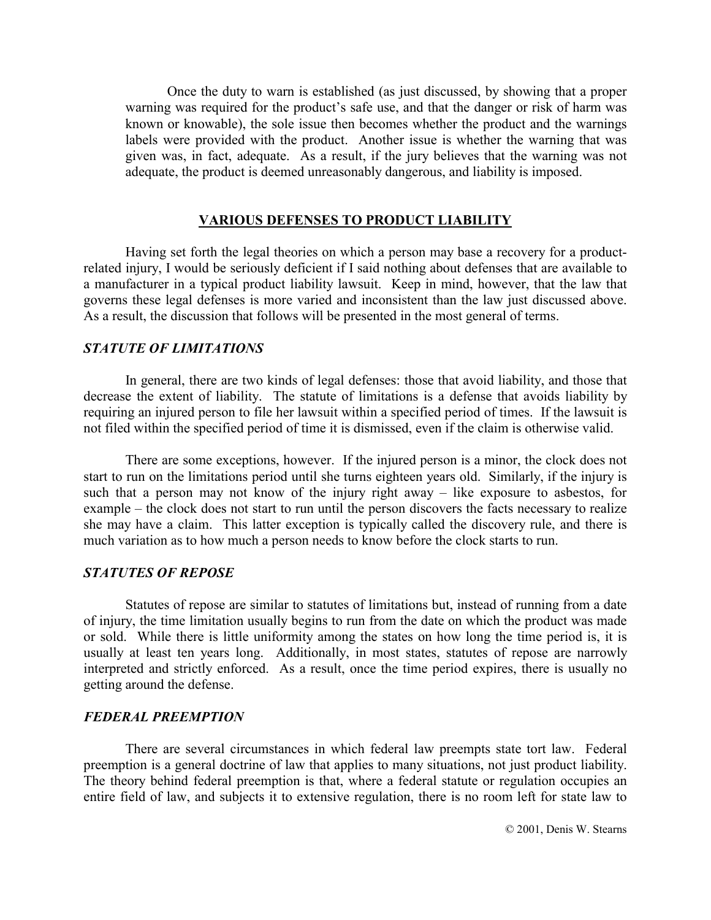Once the duty to warn is established (as just discussed, by showing that a proper warning was required for the product's safe use, and that the danger or risk of harm was known or knowable), the sole issue then becomes whether the product and the warnings labels were provided with the product. Another issue is whether the warning that was given was, in fact, adequate. As a result, if the jury believes that the warning was not adequate, the product is deemed unreasonably dangerous, and liability is imposed.

#### **VARIOUS DEFENSES TO PRODUCT LIABILITY**

Having set forth the legal theories on which a person may base a recovery for a productrelated injury, I would be seriously deficient if I said nothing about defenses that are available to a manufacturer in a typical product liability lawsuit. Keep in mind, however, that the law that governs these legal defenses is more varied and inconsistent than the law just discussed above. As a result, the discussion that follows will be presented in the most general of terms.

#### *STATUTE OF LIMITATIONS*

In general, there are two kinds of legal defenses: those that avoid liability, and those that decrease the extent of liability. The statute of limitations is a defense that avoids liability by requiring an injured person to file her lawsuit within a specified period of times. If the lawsuit is not filed within the specified period of time it is dismissed, even if the claim is otherwise valid.

There are some exceptions, however. If the injured person is a minor, the clock does not start to run on the limitations period until she turns eighteen years old. Similarly, if the injury is such that a person may not know of the injury right away  $-$  like exposure to asbestos, for example – the clock does not start to run until the person discovers the facts necessary to realize she may have a claim. This latter exception is typically called the discovery rule, and there is much variation as to how much a person needs to know before the clock starts to run.

#### *STATUTES OF REPOSE*

Statutes of repose are similar to statutes of limitations but, instead of running from a date of injury, the time limitation usually begins to run from the date on which the product was made or sold. While there is little uniformity among the states on how long the time period is, it is usually at least ten years long. Additionally, in most states, statutes of repose are narrowly interpreted and strictly enforced. As a result, once the time period expires, there is usually no getting around the defense.

#### *FEDERAL PREEMPTION*

There are several circumstances in which federal law preempts state tort law. Federal preemption is a general doctrine of law that applies to many situations, not just product liability. The theory behind federal preemption is that, where a federal statute or regulation occupies an entire field of law, and subjects it to extensive regulation, there is no room left for state law to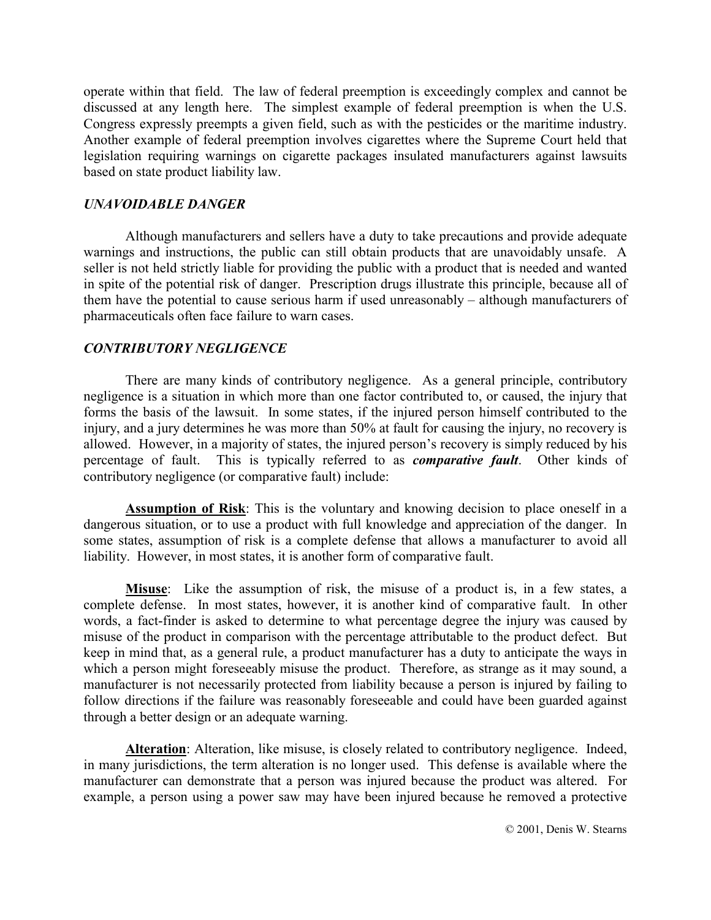operate within that field. The law of federal preemption is exceedingly complex and cannot be discussed at any length here. The simplest example of federal preemption is when the U.S. Congress expressly preempts a given field, such as with the pesticides or the maritime industry. Another example of federal preemption involves cigarettes where the Supreme Court held that legislation requiring warnings on cigarette packages insulated manufacturers against lawsuits based on state product liability law.

#### *UNAVOIDABLE DANGER*

Although manufacturers and sellers have a duty to take precautions and provide adequate warnings and instructions, the public can still obtain products that are unavoidably unsafe. A seller is not held strictly liable for providing the public with a product that is needed and wanted in spite of the potential risk of danger. Prescription drugs illustrate this principle, because all of them have the potential to cause serious harm if used unreasonably  $-$  although manufacturers of pharmaceuticals often face failure to warn cases.

## *CONTRIBUTORY NEGLIGENCE*

 There are many kinds of contributory negligence. As a general principle, contributory negligence is a situation in which more than one factor contributed to, or caused, the injury that forms the basis of the lawsuit. In some states, if the injured person himself contributed to the injury, and a jury determines he was more than 50% at fault for causing the injury, no recovery is allowed. However, in a majority of states, the injured person's recovery is simply reduced by his percentage of fault. This is typically referred to as *comparative fault*. Other kinds of contributory negligence (or comparative fault) include:

**Assumption of Risk**: This is the voluntary and knowing decision to place oneself in a dangerous situation, or to use a product with full knowledge and appreciation of the danger. In some states, assumption of risk is a complete defense that allows a manufacturer to avoid all liability. However, in most states, it is another form of comparative fault.

**Misuse**: Like the assumption of risk, the misuse of a product is, in a few states, a complete defense. In most states, however, it is another kind of comparative fault. In other words, a fact-finder is asked to determine to what percentage degree the injury was caused by misuse of the product in comparison with the percentage attributable to the product defect. But keep in mind that, as a general rule, a product manufacturer has a duty to anticipate the ways in which a person might foreseeably misuse the product. Therefore, as strange as it may sound, a manufacturer is not necessarily protected from liability because a person is injured by failing to follow directions if the failure was reasonably foreseeable and could have been guarded against through a better design or an adequate warning.

Alteration: Alteration, like misuse, is closely related to contributory negligence. Indeed, in many jurisdictions, the term alteration is no longer used. This defense is available where the manufacturer can demonstrate that a person was injured because the product was altered. For example, a person using a power saw may have been injured because he removed a protective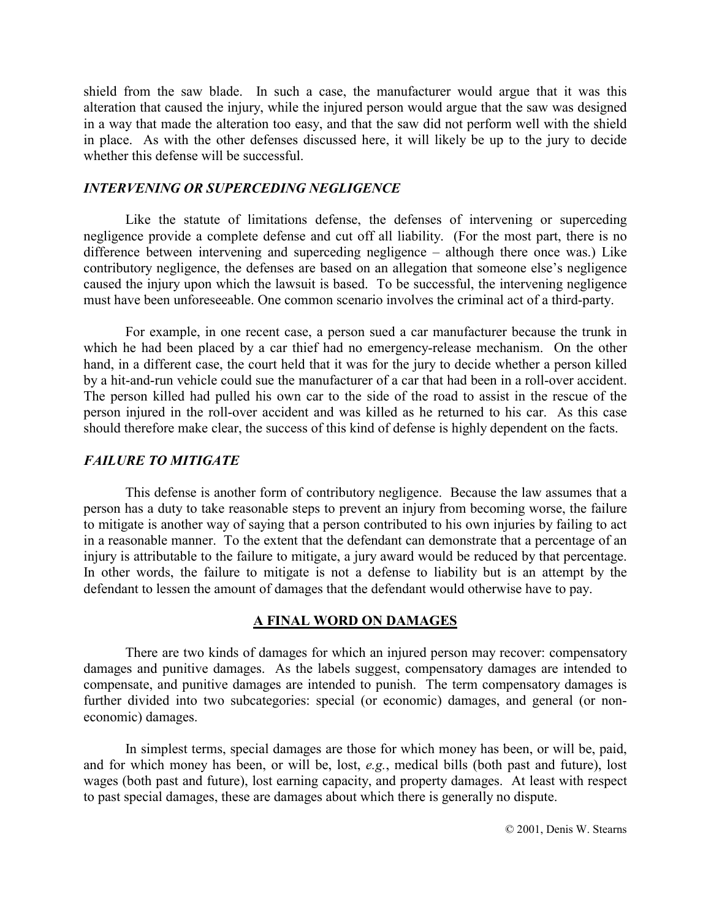shield from the saw blade. In such a case, the manufacturer would argue that it was this alteration that caused the injury, while the injured person would argue that the saw was designed in a way that made the alteration too easy, and that the saw did not perform well with the shield in place. As with the other defenses discussed here, it will likely be up to the jury to decide whether this defense will be successful.

### *INTERVENING OR SUPERCEDING NEGLIGENCE*

 Like the statute of limitations defense, the defenses of intervening or superceding negligence provide a complete defense and cut off all liability. (For the most part, there is no difference between intervening and superceding negligence  $-$  although there once was.) Like contributory negligence, the defenses are based on an allegation that someone else's negligence caused the injury upon which the lawsuit is based. To be successful, the intervening negligence must have been unforeseeable. One common scenario involves the criminal act of a third-party.

For example, in one recent case, a person sued a car manufacturer because the trunk in which he had been placed by a car thief had no emergency-release mechanism. On the other hand, in a different case, the court held that it was for the jury to decide whether a person killed by a hit-and-run vehicle could sue the manufacturer of a car that had been in a roll-over accident. The person killed had pulled his own car to the side of the road to assist in the rescue of the person injured in the roll-over accident and was killed as he returned to his car. As this case should therefore make clear, the success of this kind of defense is highly dependent on the facts.

## *FAILURE TO MITIGATE*

This defense is another form of contributory negligence. Because the law assumes that a person has a duty to take reasonable steps to prevent an injury from becoming worse, the failure to mitigate is another way of saying that a person contributed to his own injuries by failing to act in a reasonable manner. To the extent that the defendant can demonstrate that a percentage of an injury is attributable to the failure to mitigate, a jury award would be reduced by that percentage. In other words, the failure to mitigate is not a defense to liability but is an attempt by the defendant to lessen the amount of damages that the defendant would otherwise have to pay.

#### **A FINAL WORD ON DAMAGES**

There are two kinds of damages for which an injured person may recover: compensatory damages and punitive damages. As the labels suggest, compensatory damages are intended to compensate, and punitive damages are intended to punish. The term compensatory damages is further divided into two subcategories: special (or economic) damages, and general (or noneconomic) damages.

In simplest terms, special damages are those for which money has been, or will be, paid, and for which money has been, or will be, lost, *e.g.*, medical bills (both past and future), lost wages (both past and future), lost earning capacity, and property damages. At least with respect to past special damages, these are damages about which there is generally no dispute.